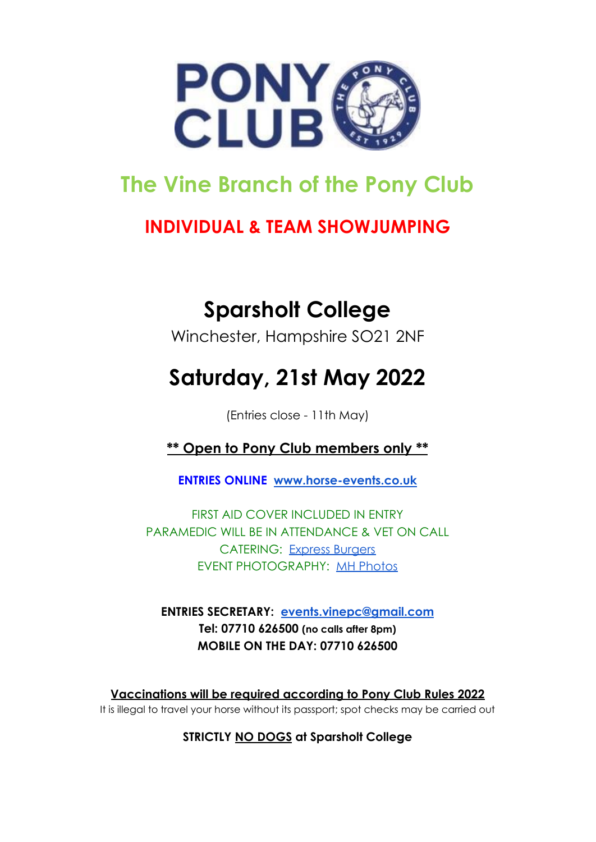

## **The Vine Branch of the Pony Club**

### **INDIVIDUAL & TEAM SHOWJUMPING**

# **Sparsholt College**

Winchester, Hampshire SO21 2NF

# **Saturday, 21st May 2022**

(Entries close - 11th May)

**\*\* Open to Pony Club members only \*\***

**ENTRIES ONLINE [www.horse-events.co.uk](http://www.horse-events.co.uk)**

FIRST AID COVER INCLUDED IN ENTRY PARAMEDIC WILL BE IN ATTENDANCE & VET ON CALL CATERING: [Express Burgers](http://www.hampshiremobilecatering.co.uk) EVENT PHOTOGRAPHY: [MH Photos](http://www.mhphotos.co.uk/)

**ENTRIES SECRETARY: [events.vinepc@gmail.com](mailto:events.vinepc@gmail.com) Tel: 07710 626500 (no calls after 8pm) MOBILE ON THE DAY: 07710 626500**

**Vaccinations will be required according to Pony Club Rules 2022** It is illegal to travel your horse without its passport; spot checks may be carried out

**STRICTLY NO DOGS at Sparsholt College**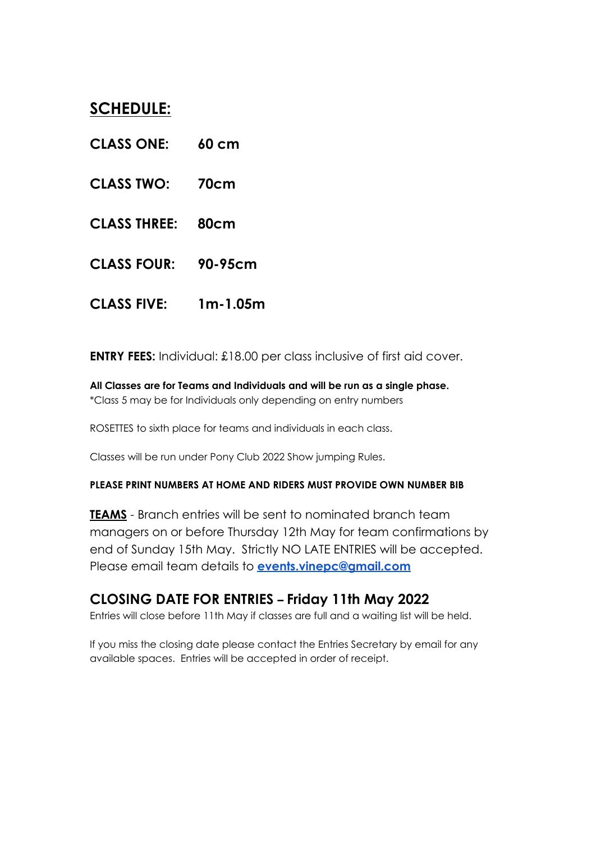### **SCHEDULE:**

- **CLASS ONE: 60 cm**
- **CLASS TWO: 70cm**
- **CLASS THREE: 80cm**
- **CLASS FOUR: 90-95cm**
- **CLASS FIVE: 1m-1.05m**

**ENTRY FEES:** Individual: £18.00 per class inclusive of first aid cover.

**All Classes are for Teams and Individuals and will be run as a single phase.** \*Class 5 may be for Individuals only depending on entry numbers

ROSETTES to sixth place for teams and individuals in each class.

Classes will be run under Pony Club 2022 Show jumping Rules.

#### **PLEASE PRINT NUMBERS AT HOME AND RIDERS MUST PROVIDE OWN NUMBER BIB**

**TEAMS** - Branch entries will be sent to nominated branch team managers on or before Thursday 12th May for team confirmations by end of Sunday 15th May. Strictly NO LATE ENTRIES will be accepted. Please email team details to **[events.vinepc@gmail.com](mailto:events.vinepc@gmail.com)**

#### **CLOSING DATE FOR ENTRIES – Friday 11th May 2022**

Entries will close before 11th May if classes are full and a waiting list will be held.

If you miss the closing date please contact the Entries Secretary by email for any available spaces. Entries will be accepted in order of receipt.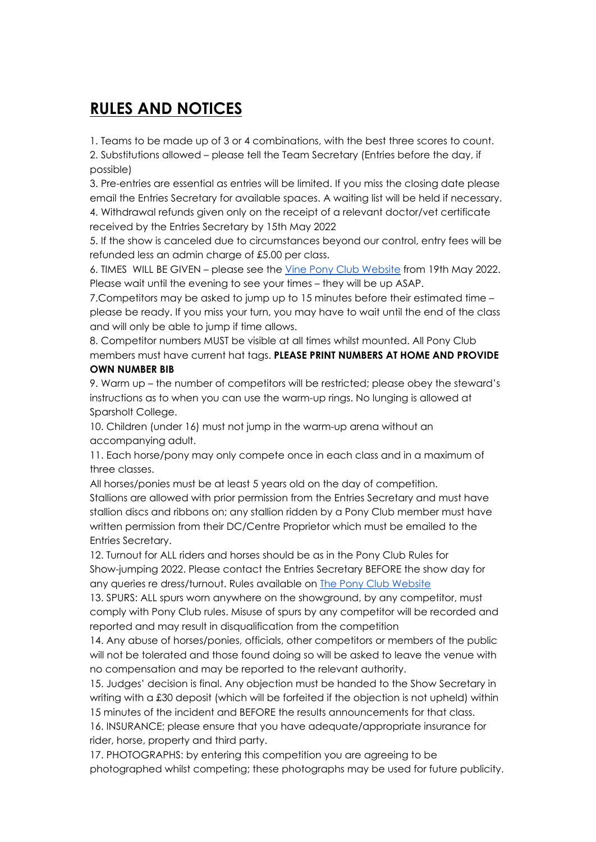### **RULES AND NOTICES**

1. Teams to be made up of 3 or 4 combinations, with the best three scores to count. 2. Substitutions allowed – please tell the Team Secretary (Entries before the day, if possible)

3. Pre-entries are essential as entries will be limited. If you miss the closing date please email the Entries Secretary for available spaces. A waiting list will be held if necessary. 4. Withdrawal refunds given only on the receipt of a relevant doctor/vet certificate received by the Entries Secretary by 15th May 2022

5. If the show is canceled due to circumstances beyond our control, entry fees will be refunded less an admin charge of £5.00 per class.

6. TIMES WILL BE GIVEN – please see the Vine Pony Club [Website](https://branches.pcuk.org/vine/) from 19th May 2022. Please wait until the evening to see your times – they will be up ASAP.

7.Competitors may be asked to jump up to 15 minutes before their estimated time – please be ready. If you miss your turn, you may have to wait until the end of the class and will only be able to jump if time allows.

8. Competitor numbers MUST be visible at all times whilst mounted. All Pony Club members must have current hat tags. **PLEASE PRINT NUMBERS AT HOME AND PROVIDE OWN NUMBER BIB**

9. Warm up – the number of competitors will be restricted; please obey the steward's instructions as to when you can use the warm-up rings. No lunging is allowed at Sparsholt College.

10. Children (under 16) must not jump in the warm-up arena without an accompanying adult.

11. Each horse/pony may only compete once in each class and in a maximum of three classes.

All horses/ponies must be at least 5 years old on the day of competition. Stallions are allowed with prior permission from the Entries Secretary and must have stallion discs and ribbons on; any stallion ridden by a Pony Club member must have written permission from their DC/Centre Proprietor which must be emailed to the Entries Secretary.

12. Turnout for ALL riders and horses should be as in the Pony Club Rules for Show-jumping 2022. Please contact the Entries Secretary BEFORE the show day for any queries re dress/turnout. Rules available on The Pony Club [Website](http://www.pcuk.org)

13. SPURS: ALL spurs worn anywhere on the showground, by any competitor, must comply with Pony Club rules. Misuse of spurs by any competitor will be recorded and reported and may result in disqualification from the competition

14. Any abuse of horses/ponies, officials, other competitors or members of the public will not be tolerated and those found doing so will be asked to leave the venue with no compensation and may be reported to the relevant authority.

15. Judges' decision is final. Any objection must be handed to the Show Secretary in writing with a £30 deposit (which will be forfeited if the objection is not upheld) within 15 minutes of the incident and BEFORE the results announcements for that class.

16. INSURANCE; please ensure that you have adequate/appropriate insurance for rider, horse, property and third party.

17. PHOTOGRAPHS: by entering this competition you are agreeing to be photographed whilst competing; these photographs may be used for future publicity.